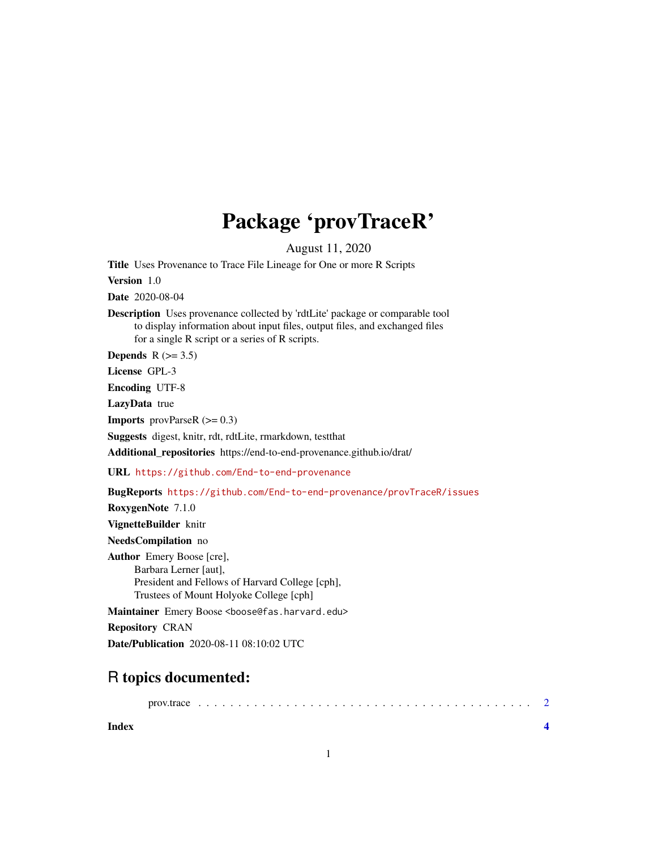## Package 'provTraceR'

August 11, 2020

Title Uses Provenance to Trace File Lineage for One or more R Scripts

Version 1.0

Date 2020-08-04

Description Uses provenance collected by 'rdtLite' package or comparable tool to display information about input files, output files, and exchanged files for a single R script or a series of R scripts.

Depends  $R$  ( $>= 3.5$ )

License GPL-3

Encoding UTF-8

LazyData true

**Imports** provParseR  $(>= 0.3)$ 

Suggests digest, knitr, rdt, rdtLite, rmarkdown, testthat

Additional\_repositories https://end-to-end-provenance.github.io/drat/

URL <https://github.com/End-to-end-provenance>

BugReports <https://github.com/End-to-end-provenance/provTraceR/issues>

RoxygenNote 7.1.0

VignetteBuilder knitr

NeedsCompilation no

Author Emery Boose [cre], Barbara Lerner [aut], President and Fellows of Harvard College [cph], Trustees of Mount Holyoke College [cph]

Maintainer Emery Boose <boose@fas.harvard.edu>

Repository CRAN

Date/Publication 2020-08-11 08:10:02 UTC

### R topics documented:

prov.trace . . . . . . . . . . . . . . . . . . . . . . . . . . . . . . . . . . . . . . . . . . [2](#page-1-0)

**Index** [4](#page-3-0)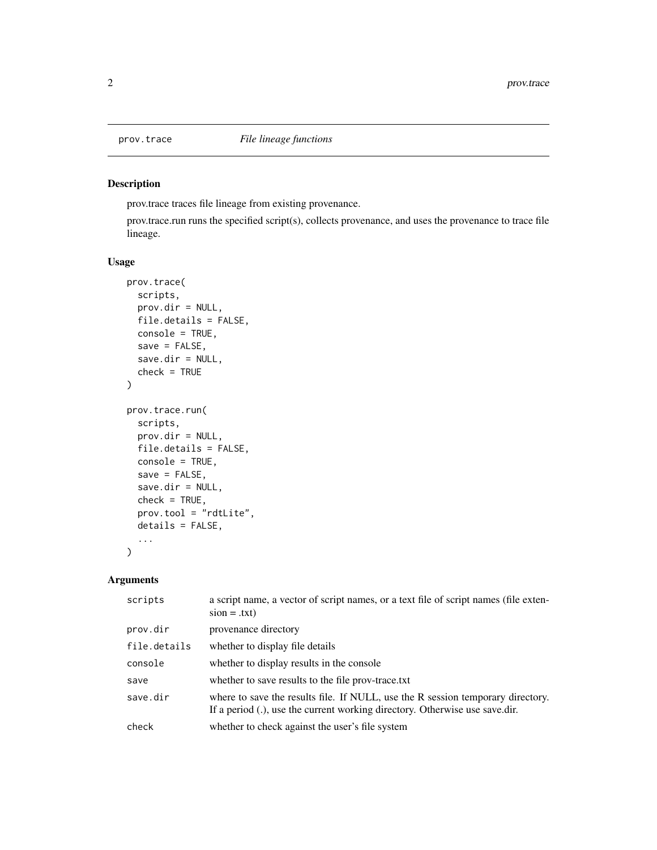#### Description

prov.trace traces file lineage from existing provenance.

prov.trace.run runs the specified script(s), collects provenance, and uses the provenance to trace file lineage.

#### Usage

```
prov.trace(
  scripts,
 prov.dir = NULL,
 file.details = FALSE,
 console = TRUE,
  save = FALSE,save.dir = NULL,check = TRUE)
prov.trace.run(
  scripts,
 prov.dir = NULL,
 file.details = FALSE,
 console = TRUE,
  save = FALSE,save.dir = NULL,check = TRUE,prov.tool = "rdtLite",
 details = FALSE,
  ...
)
```
#### Arguments

| scripts      | a script name, a vector of script names, or a text file of script names (file exten-<br>$sion = .txt)$                                                         |
|--------------|----------------------------------------------------------------------------------------------------------------------------------------------------------------|
| prov.dir     | provenance directory                                                                                                                                           |
| file.details | whether to display file details                                                                                                                                |
| console      | whether to display results in the console                                                                                                                      |
| save         | whether to save results to the file prov-trace.txt                                                                                                             |
| save.dir     | where to save the results file. If NULL, use the R session temporary directory.<br>If a period (.), use the current working directory. Otherwise use save.dir. |
| check        | whether to check against the user's file system                                                                                                                |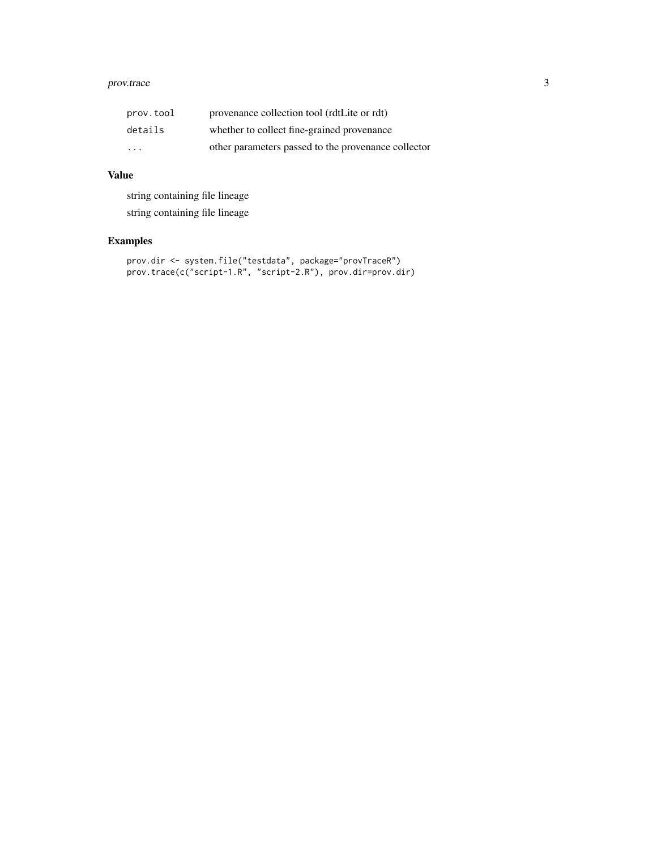#### prov.trace 3

| prov.tool | provenance collection tool (rdtLite or rdt)         |
|-----------|-----------------------------------------------------|
| details   | whether to collect fine-grained provenance          |
| $\cdot$   | other parameters passed to the provenance collector |

#### Value

string containing file lineage string containing file lineage

#### Examples

```
prov.dir <- system.file("testdata", package="provTraceR")
prov.trace(c("script-1.R", "script-2.R"), prov.dir=prov.dir)
```